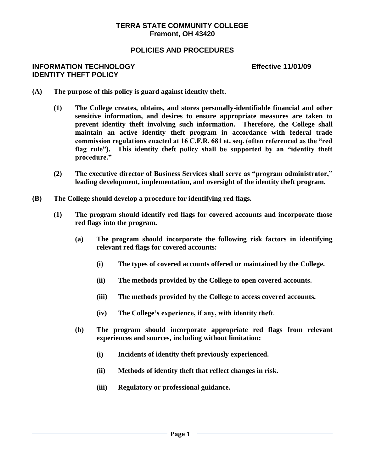### **TERRA STATE COMMUNITY COLLEGE Fremont, OH 43420**

# **POLICIES AND PROCEDURES**

#### **INFORMATION TECHNOLOGY Effective 11/01/09 IDENTITY THEFT POLICY**

- **(A) The purpose of this policy is guard against identity theft.**
	- **(1) The College creates, obtains, and stores personally-identifiable financial and other sensitive information, and desires to ensure appropriate measures are taken to prevent identity theft involving such information. Therefore, the College shall maintain an active identity theft program in accordance with federal trade commission regulations enacted at 16 C.F.R. 681 et. seq. (often referenced as the "red flag rule"). This identity theft policy shall be supported by an "identity theft procedure."**
	- **(2) The executive director of Business Services shall serve as "program administrator," leading development, implementation, and oversight of the identity theft program.**
- **(B) The College should develop a procedure for identifying red flags.**
	- **(1) The program should identify red flags for covered accounts and incorporate those red flags into the program.**
		- **(a) The program should incorporate the following risk factors in identifying relevant red flags for covered accounts:**
			- **(i) The types of covered accounts offered or maintained by the College.**
			- **(ii) The methods provided by the College to open covered accounts.**
			- **(iii) The methods provided by the College to access covered accounts.**
			- **(iv) The College's experience, if any, with identity theft.**
		- **(b) The program should incorporate appropriate red flags from relevant experiences and sources, including without limitation:**
			- **(i) Incidents of identity theft previously experienced.**
			- **(ii) Methods of identity theft that reflect changes in risk.**
			- **(iii) Regulatory or professional guidance.**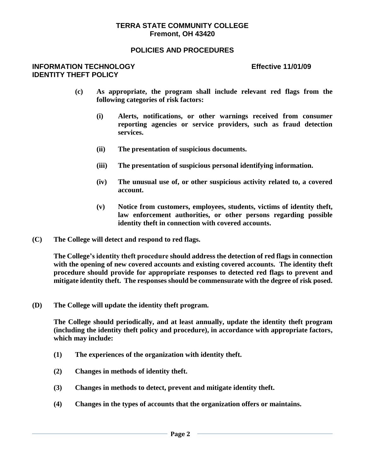#### **TERRA STATE COMMUNITY COLLEGE Fremont, OH 43420**

## **POLICIES AND PROCEDURES**

#### **INFORMATION TECHNOLOGY Effective 11/01/09 IDENTITY THEFT POLICY**

- **(c) As appropriate, the program shall include relevant red flags from the following categories of risk factors:**
	- **(i) Alerts, notifications, or other warnings received from consumer reporting agencies or service providers, such as fraud detection services.**
	- **(ii) The presentation of suspicious documents.**
	- **(iii) The presentation of suspicious personal identifying information.**
	- **(iv) The unusual use of, or other suspicious activity related to, a covered account.**
	- **(v) Notice from customers, employees, students, victims of identity theft, law enforcement authorities, or other persons regarding possible identity theft in connection with covered accounts.**
- **(C) The College will detect and respond to red flags.**

**The College's identity theft procedure should address the detection of red flags in connection with the opening of new covered accounts and existing covered accounts. The identity theft procedure should provide for appropriate responses to detected red flags to prevent and mitigate identity theft. The responses should be commensurate with the degree of risk posed.**

**(D) The College will update the identity theft program.**

**The College should periodically, and at least annually, update the identity theft program (including the identity theft policy and procedure), in accordance with appropriate factors, which may include:**

- **(1) The experiences of the organization with identity theft.**
- **(2) Changes in methods of identity theft.**
- **(3) Changes in methods to detect, prevent and mitigate identity theft.**
- **(4) Changes in the types of accounts that the organization offers or maintains.**